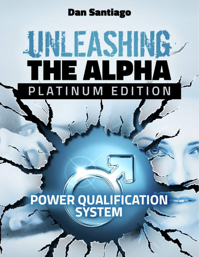#### **Dan Santiago**

# **INEASHING** THE ALPHA<br>PLATINUM EDITION

## POWER QUALIFICATION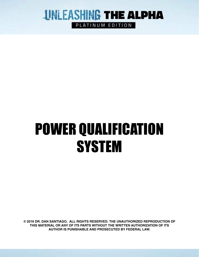

PLATINUM EDITION

## POWER QUALIFICATION **SYSTEM**

**© 2016 DR. DAN SANTIAGO, ALL RIGHTS RESERVED. THE UNAUTHORIZED REPRODUCTION OF THIS MATERIAL OR ANY OF ITS PARTS WITHOUT THE WRITTEN AUTHORIZATION OF ITS AUTHOR IS PUNISHABLE AND PROSECUTED BY FEDERAL LAW.**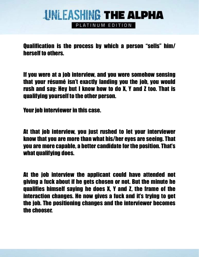PLATINUM EDITION

Qualification is the process by which a person "sells" him/ herself to others.

If you were at a job interview, and you were somehow sensing that your résumé isn't exactly landing you the job, you would rush and say: Hey but I know how to do X, Y and Z too. That is qualifying yourself to the other person.

Your job interviewer in this case.

At that job interview, you just rushed to let your interviewer know that you are more than what his/her eyes are seeing. That you are more capable, a better candidate for the position. That's what qualifying does.

At the job interview the applicant could have attended not giving a fuck about if he gets chosen or not. But the minute he qualifies himself saying he does X, Y and Z, the frame of the interaction changes. He now gives a fuck and it's trying to get the job. The positioning changes and the interviewer becomes the chooser.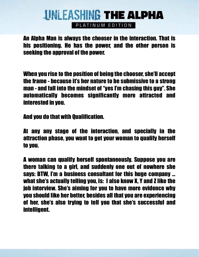PLATINUM EDITION

An Alpha Man is always the chooser in the interaction. That is his positioning. He has the power, and the other person is seeking the approval of the power.

When you rise to the position of being the chooser, she'll accept the frame - because it's her nature to be submissive to a strong man - and fall into the mindset of "yes I'm chasing this guy". She automatically becomes significantly more attracted and interested in you.

And you do that with Qualification.

At any any stage of the interaction, and specially in the attraction phase, you want to get your woman to qualify herself to you.

A woman can qualify herself spontaneously. Suppose you are there talking to a girl, and suddenly one out of nowhere she says: BTW, I'm a business consultant for this huge company … what she's actually telling you, is: I also know X, Y and Z like the job interview. She's aiming for you to have more evidence why you should like her better, besides all that you are experiencing of her, she's also trying to tell you that she's successful and intelligent.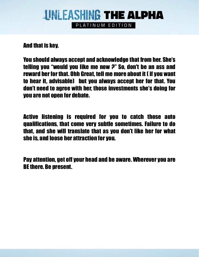#### **UNLEASHING THE ALPHA** PLATINUM EDITION

And that is key.

You should always accept and acknowledge that from her. She's telling you "would you like me now ?" So, don't be an ass and reward her for that. Ohh Great, tell me more about it ( if you want to hear it, advisable) but you always accept her for that. You don't need to agree with her, those investments she's doing for you are not open for debate.

Active listening is required for you to catch those auto qualifications, that come very subtle sometimes. Failure to do that, and she will translate that as you don't like her for what she is, and loose her attraction for you.

Pay attention, get off your head and be aware. Wherever you are BE there. Be present.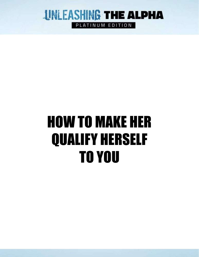

PLATINUM EDITION

### HOW TO MAKE HER QUALIFY HERSELF TO YOU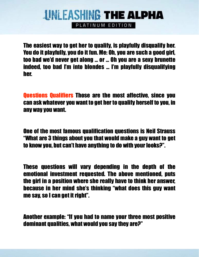PLATINUM EDITION

The easiest way to get her to qualify, is playfully disqualify her. You do it playfully, you do it fun. Me: Oh, you are such a good girl, too bad we'd never get along … or … Oh you are a sexy brunette indeed, too bad I'm into blondes … I'm playfully disqualifying her.

Questions Qualifiers Those are the most affective, since you can ask whatever you want to get her to qualify herself to you, in any way you want.

One of the most famous qualification questions is Neil Strauss "What are 3 things about you that would make a guy want to get to know you, but can't have anything to do with your looks?".

These questions will vary depending in the depth of the emotional investment requested. The above mentioned, puts the girl in a position where she really have to think her answer, because in her mind she's thinking "what does this guy want me say, so I can get it right".

Another example: "If you had to name your three most positive dominant qualities, what would you say they are?"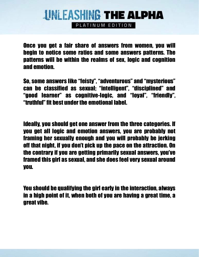PLATINUM EDITION

Once you get a fair share of answers from women, you will begin to notice some ratios and some answers patterns. The patterns will be within the realms of sex, logic and cognition and emotion.

So, some answers like "feisty", "adventurous" and "mysterious" can be classified as sexual; "intelligent", "disciplined" and "good learner" as cognitive-logic, and "loyal", "friendly", "truthful" fit best under the emotional label.

Ideally, you should get one answer from the three categories. If you get all logic and emotion answers, you are probably not framing her sexually enough and you will probably be jerking off that night, if you don't pick up the pace on the attraction. On the contrary if you are getting primarily sexual answers, you've framed this girl as sexual, and she does feel very sexual around you.

You should be qualifying the girl early in the interaction, always in a high point of it, when both of you are having a great time, a great vibe.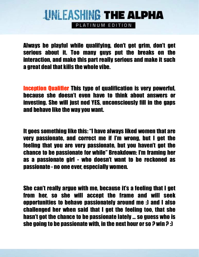PLATINUM EDITION

Always be playful while qualifying, don't get grim, don't get serious about it. Too many guys put the breaks on the interaction, and make this part really serious and make it such a great deal that kills the whole vibe.

Inception Qualifier This type of qualification is very powerful, because she doesn't even have to think about answers or investing. She will just nod YES, unconsciously fill in the gaps and behave like the way you want.

It goes something like this: "I have always liked women that are very passionate, and correct me if I'm wrong, but I get the feeling that you are very passionate, but you haven't got the chance to be passionate for while" Breakdown: I'm framing her as a passionate girl - who doesn't want to be reckoned as passionate - no one ever, especially women.

She can't really argue with me, because it's a feeling that I get from her, so she will accept the frame and will seek opportunities to behave passionately around me :) and I also challenged her when said that I get the feeling too, that she hasn't got the chance to be passionate lately … so guess who is she going to be passionate with, in the next hour or so ? win ? :)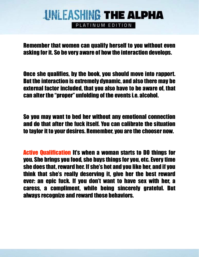PLATINUM EDITION

Remember that women can qualify herself to you without even asking for it. So be very aware of how the interaction develops.

Once she qualifies, by the book, you should move into rapport. But the interaction is extremely dynamic, and also there may be external factor included, that you also have to be aware of, that can alter the "proper" unfolding of the events i.e. alcohol.

So you may want to bed her without any emotional connection and do that after the fuck itself. You can calibrate the situation to taylor it to your desires. Remember, you are the chooser now.

Active Qualification It's when a woman starts to DO things for you. She brings you food, she buys things for you, etc. Every time she does that, reward her. If she's hot and you like her, and if you think that she's really deserving it, give her the best reward ever: an epic fuck. If you don't want to have sex with her, a caress, a compliment, while being sincerely grateful. But always recognize and reward those behaviors.